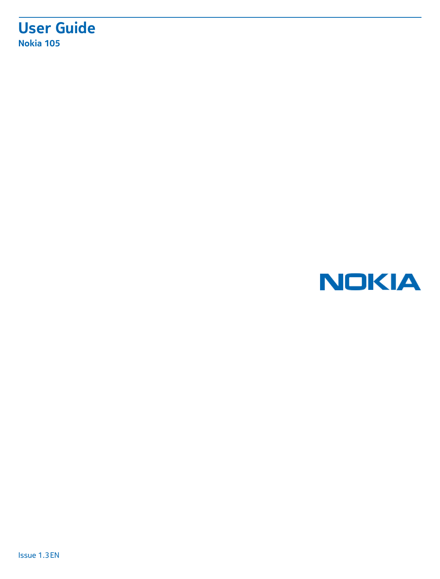### **User Guide Nokia 105**

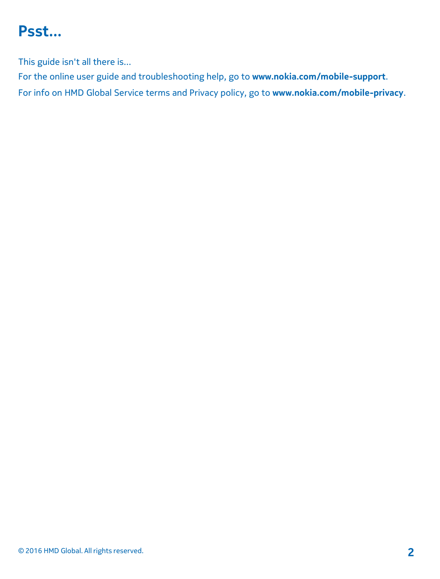## <span id="page-1-0"></span>**Psst...**

This guide isn't all there is...

For the online user guide and troubleshooting help, go to **www.nokia.com/mobile-support**. For info on HMD Global Service terms and Privacy policy, go to **www.nokia.com/mobile[-privacy](http://www.microsoft.com/mobile/privacypolicy)**.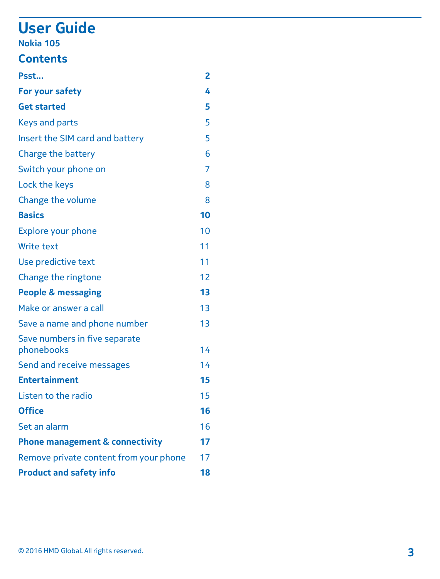## **User Guide**

#### **Nokia 105**

### **Contents**

| Psst                                        | 2  |
|---------------------------------------------|----|
| For your safety                             | 4  |
| <b>Get started</b>                          | 5  |
| Keys and parts                              | 5  |
| Insert the SIM card and battery             | 5  |
| Charge the battery                          | 6  |
| Switch your phone on                        | 7  |
| Lock the keys                               | 8  |
| Change the volume                           | 8  |
| <b>Basics</b>                               | 10 |
| <b>Explore your phone</b>                   | 10 |
| Write text                                  | 11 |
| Use predictive text                         | 11 |
| Change the ringtone                         | 12 |
| People & messaging                          | 13 |
| Make or answer a call                       | 13 |
| Save a name and phone number                | 13 |
| Save numbers in five separate<br>phonebooks | 14 |
| Send and receive messages                   | 14 |
| <b>Entertainment</b>                        | 15 |
| Listen to the radio                         | 15 |
| Office                                      | 16 |
| Set an alarm                                | 16 |
| <b>Phone management &amp; connectivity</b>  | 17 |
| Remove private content from your phone      | 17 |
| <b>Product and safety info</b>              | 18 |
|                                             |    |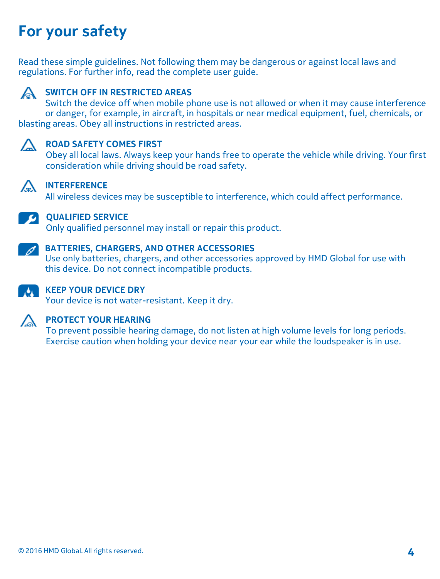## <span id="page-3-0"></span>**For your safety**

Read these simple guidelines. Not following them may be dangerous or against local laws and regulations. For further info, read the complete user guide.



#### **SWITCH OFF IN RESTRICTED AREAS**

Switch the device off when mobile phone use is not allowed or when it may cause interference or danger, for example, in aircraft, in hospitals or near medical equipment, fuel, chemicals, or blasting areas. Obey all instructions in restricted areas.



#### **A** ROAD SAFETY COMES FIRST

Obey all local laws. Always keep your hands free to operate the vehicle while driving. Your first consideration while driving should be road safety.



### **INTERFERENCE**

All wireless devices may be susceptible to interference, which could affect performance.



#### **QUALIFIED SERVICE**

Only qualified personnel may install or repair this product.



#### **BATTERIES, CHARGERS, AND OTHER ACCESSORIES**

Use only batteries, chargers, and other accessories approved by HMD Global for use with this device. Do not connect incompatible products.



#### **KEEP YOUR DEVICE DRY**

Your device is not water-resistant. Keep it dry.



#### **A PROTECT YOUR HEARING**

To prevent possible hearing damage, do not listen at high volume levels for long periods. Exercise caution when holding your device near your ear while the loudspeaker is in use.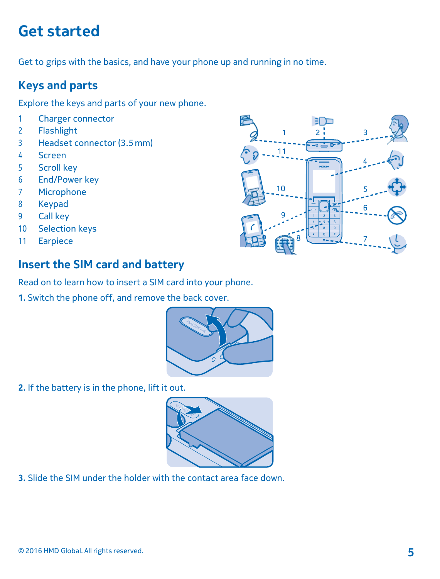## <span id="page-4-0"></span>**Get started**

Get to grips with the basics, and have your phone up and running in no time.

#### <span id="page-4-1"></span>**Keys and parts**

Explore the keys and parts of your new phone.

- 1 Charger connector
- 2 Flashlight
- 3 Headset connector (3.5mm)
- 4 Screen
- 5 Scroll key
- 6 End/Power key
- 7 Microphone
- 8 Keypad
- 9 Call key
- 10 Selection keys
- 11 Earpiece



#### <span id="page-4-2"></span>**Insert the SIM card and battery**

Read on to learn how to insert a SIM card into your phone.

**1.** Switch the phone off, and remove the back cover.



**2.** If the battery is in the phone, lift it out.



**3.** Slide the SIM under the holder with the contact area face down.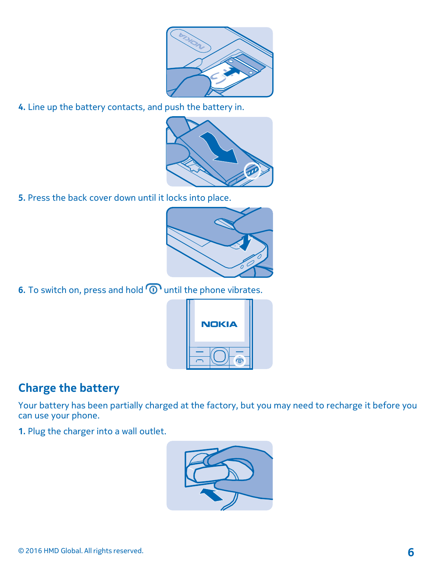

**4.** Line up the battery contacts, and push the battery in.



**5.** Press the back cover down until it locks into place.



**6.** To switch on, press and hold  $\widehat{O}$  until the phone vibrates.



#### <span id="page-5-0"></span>**Charge the battery**

Your battery has been partially charged at the factory, but you may need to recharge it before you can use your phone.

**1.** Plug the charger into a wall outlet.

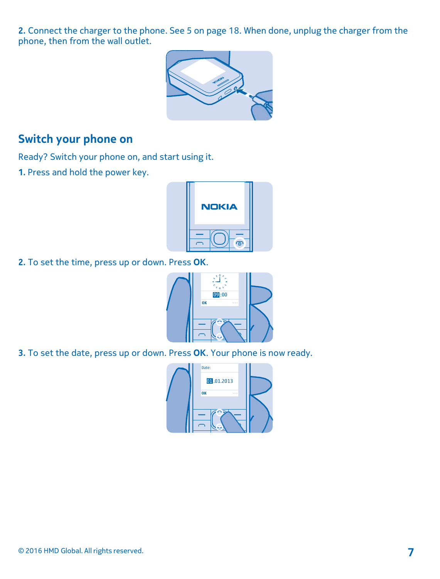**2.** Connect the charger to the phone. See [5](#page-17-1) on page 18. When done, unplug the charger from the phone, then from the wall outlet.



#### <span id="page-6-0"></span>**Switch your phone on**

Ready? Switch your phone on, and start using it.

**1.** Press and hold the power key.



**2.** To set the time, press up or down. Press **OK**.



**3.** To set the date, press up or down. Press **OK**. Your phone is now ready.

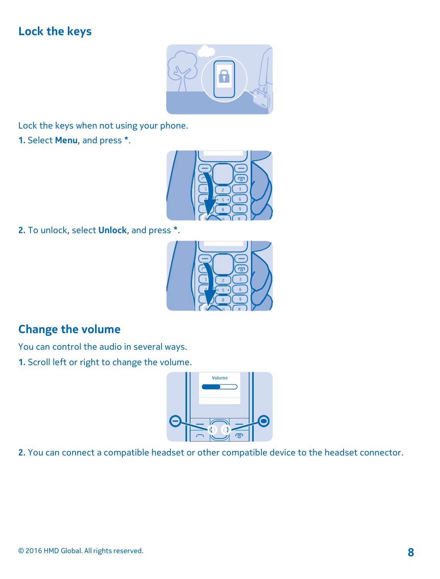### <span id="page-7-0"></span>**Lock the keys**



Lock the keys when not using your phone.

**1.** Select **Menu**, and press **\***.



**2.** To unlock, select **Unlock**, and press **\***.



### <span id="page-7-1"></span>**Change the volume**

You can control the audio in several ways.

**1.** Scroll left or right to change the volume.



**2.** You can connect a compatible headset or other compatible device to the headset connector.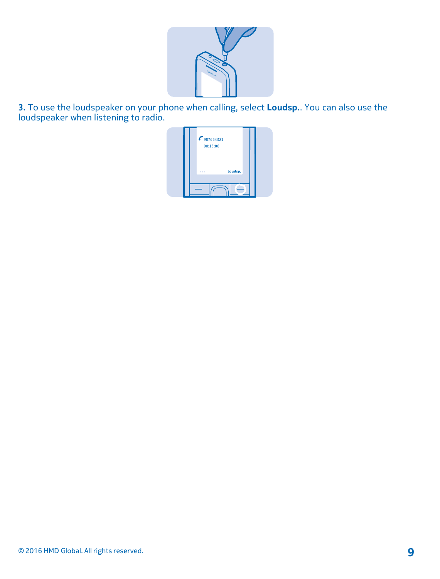

**3.** To use the loudspeaker on your phone when calling, select **Loudsp.**. You can also use the loudspeaker when listening to radio.

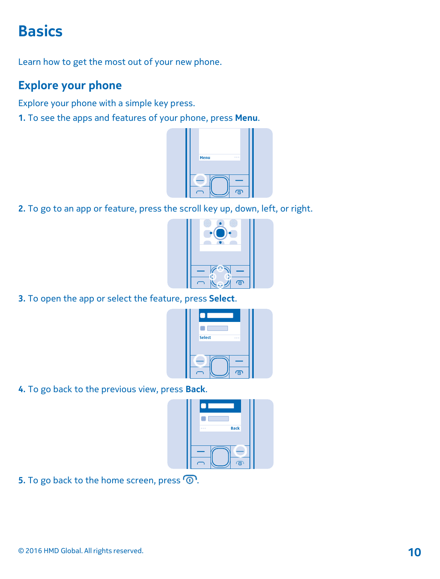## <span id="page-9-0"></span>**Basics**

Learn how to get the most out of your new phone.

#### <span id="page-9-1"></span>**Explore your phone**

Explore your phone with a simple key press.

**1.** To see the apps and features of your phone, press **Menu**.



**2.** To go to an app or feature, press the scroll key up, down, left, or right.



**3.** To open the app or select the feature, press **Select**.



**4.** To go back to the previous view, press **Back**.



5. To go back to the home screen, press  $\circledR$ .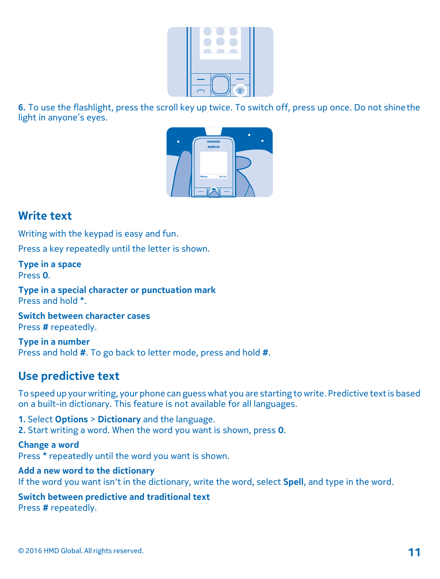

**6.** To use the flashlight, press the scroll key up twice. To switch off, press up once. Do not shinethe light in anyone's eyes.



#### <span id="page-10-0"></span>**Write text**

Writing with the keypad is easy and fun.

Press a key repeatedly until the letter is shown.

**Type in a space** Press **0**.

**Type in a special character or punctuation mark** Press and hold **\***.

**Switch between character cases** Press **#** repeatedly.

**Type in a number** Press and hold **#**. To go back to letter mode, press and hold **#**.

#### <span id="page-10-1"></span>**Use predictive text**

To speed up yourwriting, your phone can guesswhat you are starting to write. Predictive textis based on a built-in dictionary. This feature is not available for all languages.

**1.** Select **Options** > **Dictionary** and the language. **2.** Start writing a word. When the word you want is shown, press **0**.

**Change a word** Press **\*** repeatedly until the word you want is shown.

**Add a new word to the dictionary** If the word you want isn't in the dictionary, write the word, select **Spell**, and type in the word.

**Switch between predictive and traditional text** Press **#** repeatedly.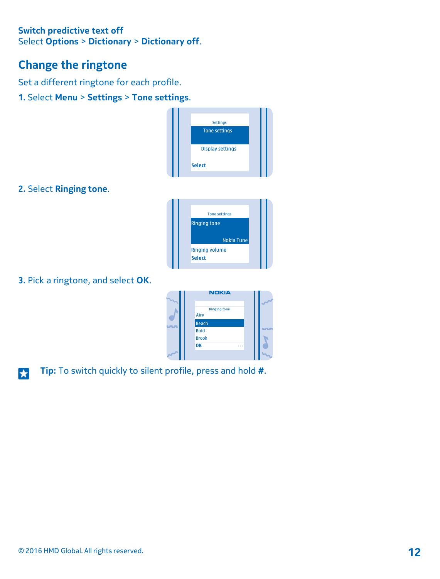#### **Switch predictive text off** Select **Options** > **Dictionary** > **Dictionary off**.

#### <span id="page-11-0"></span>**Change the ringtone**

Set a different ringtone for each profile.

**1.** Select **Menu** > **Settings** > **Tone settings**.



**2.** Select **Ringing tone**.



**3.** Pick a ringtone, and select **OK**.

| <b>NDKIA</b>                |   |
|-----------------------------|---|
| <b>Ringing tone</b><br>Airy | ÷ |
| Beach                       |   |
| Bold<br><b>Brook</b>        |   |
| OK<br>.                     |   |
|                             |   |

**Tip:** To switch quickly to silent profile, press and hold **#**. H.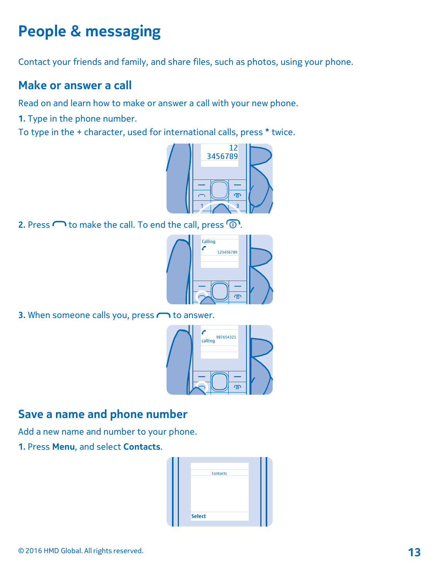## <span id="page-12-0"></span>**People & messaging**

Contact your friends and family, and share files, such as photos, using your phone.

#### <span id="page-12-1"></span>**Make or answer a call**

Read on and learn how to make or answer a call with your new phone.

**1.** Type in the phone number.

To type in the + character, used for international calls, press **\*** twice.



**2.** Press  $\bigcap$  to make the call. To end the call, press  $\bigcirc$ .



**3.** When someone calls you, press  $\bigcap$  to answer.



#### <span id="page-12-2"></span>**Save a name and phone number**

Add a new name and number to your phone.

**1.** Press **Menu**, and select **Contacts**.

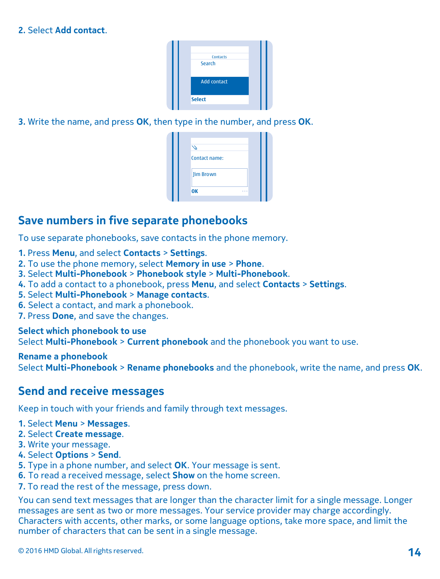#### **2.** Select **Add contact**.

| <b>Contacts</b>    |  |
|--------------------|--|
| Search             |  |
| <b>Add contact</b> |  |
| <b>Select</b>      |  |
|                    |  |

**3.** Write the name, and press **OK**, then type in the number, and press **OK**.

| Contact name:<br><b>Jim Brown</b> |
|-----------------------------------|
|                                   |
|                                   |
|                                   |

#### <span id="page-13-0"></span>**Save numbers in five separate phonebooks**

To use separate phonebooks, save contacts in the phone memory.

- **1.** Press **Menu**, and select **Contacts** > **Settings**.
- **2.** To use the phone memory, select **Memory in use** > **Phone**.
- **3.** Select **Multi-Phonebook** > **Phonebook style** > **Multi-Phonebook**.
- **4.** To add a contact to a phonebook, press **Menu**, and select **Contacts** > **Settings**.
- **5.** Select **Multi-Phonebook** > **Manage contacts**.
- **6.** Select a contact, and mark a phonebook.
- **7.** Press **Done**, and save the changes.

**Select which phonebook to use** Select **Multi-Phonebook** > **Current phonebook** and the phonebook you want to use.

**Rename a phonebook**

Select **Multi-Phonebook** > **Rename phonebooks** and the phonebook, write the name, and press **OK**.

#### <span id="page-13-1"></span>**Send and receive messages**

Keep in touch with your friends and family through text messages.

- **1.** Select **Menu** > **Messages**.
- **2.** Select **Create message**.
- **3.** Write your message.
- **4.** Select **Options** > **Send**.
- **5.** Type in a phone number, and select **OK**. Your message is sent.
- **6.** To read a received message, select **Show** on the home screen.
- **7.** To read the rest of the message, press down.

You can send text messages that are longer than the character limit for a single message. Longer messages are sent as two or more messages. Your service provider may charge accordingly. Characters with accents, other marks, or some language options, take more space, and limit the number of characters that can be sent in a single message.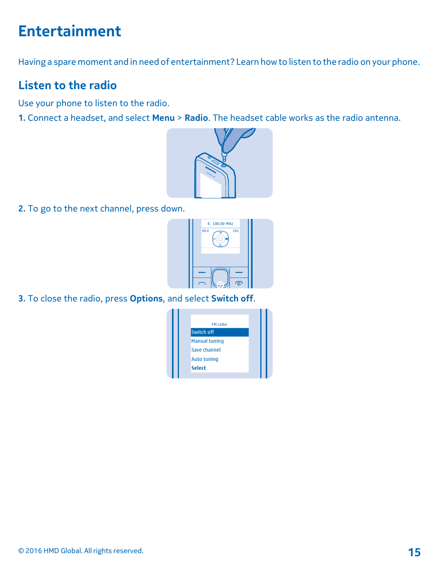## <span id="page-14-0"></span>**Entertainment**

Having a spare moment and in need of entertainment? Learn howto listen to the radio on your phone.

### <span id="page-14-1"></span>**Listen to the radio**

Use your phone to listen to the radio.

**1.** Connect a headset, and select **Menu** > **Radio**. The headset cable works as the radio antenna.



**2.** To go to the next channel, press down.



**3.** To close the radio, press **Options**, and select **Switch off**.

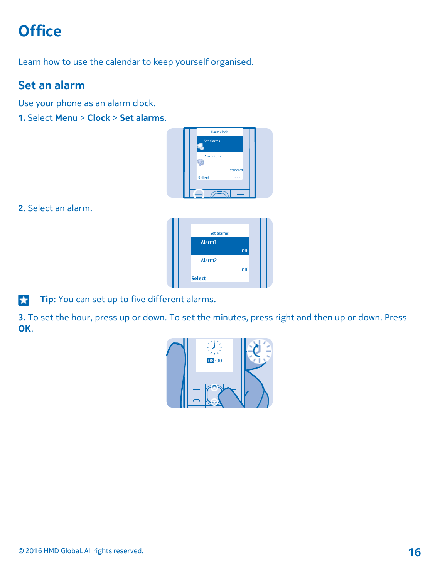## <span id="page-15-0"></span>**Office**

Learn how to use the calendar to keep yourself organised.

### <span id="page-15-1"></span>**Set an alarm**

Use your phone as an alarm clock.

**1.** Select **Menu** > **Clock** > **Set alarms**.



**2.** Select an alarm.



**Tip:** You can set up to five different alarms.

**3.** To set the hour, press up or down. To set the minutes, press right and then up or down. Press **OK**.

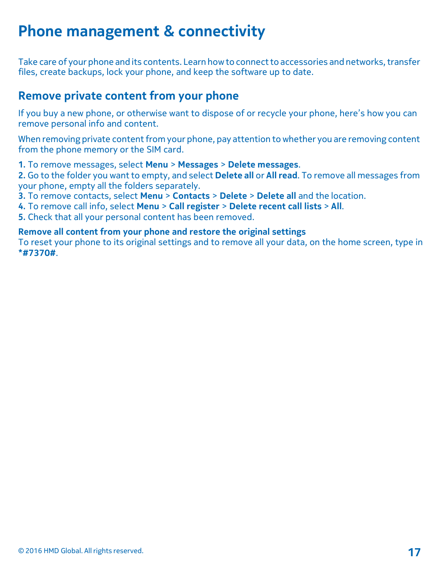## <span id="page-16-0"></span>**Phone management & connectivity**

Take care of your phone and its contents. Learn how to connect to accessories and networks, transfer files, create backups, lock your phone, and keep the software up to date.

#### <span id="page-16-1"></span>**Remove private content from your phone**

If you buy a new phone, or otherwise want to dispose of or recycle your phone, here's how you can remove personal info and content.

When removing private content from your phone, pay attention to whether you are removing content from the phone memory or the SIM card.

**1.** To remove messages, select **Menu** > **Messages** > **Delete messages**.

**2.** Go to the folder you want to empty, and select **Delete all** or **All read**. To remove all messages from your phone, empty all the folders separately.

**3.** To remove contacts, select **Menu** > **Contacts** > **Delete** > **Delete all** and the location.

**4.** To remove call info, select **Menu** > **Call register** > **Delete recent call lists** > **All**.

**5.** Check that all your personal content has been removed.

**Remove all content from your phone and restore the original settings**

To reset your phone to its original settings and to remove all your data, on the home screen, type in **\*#7370#**.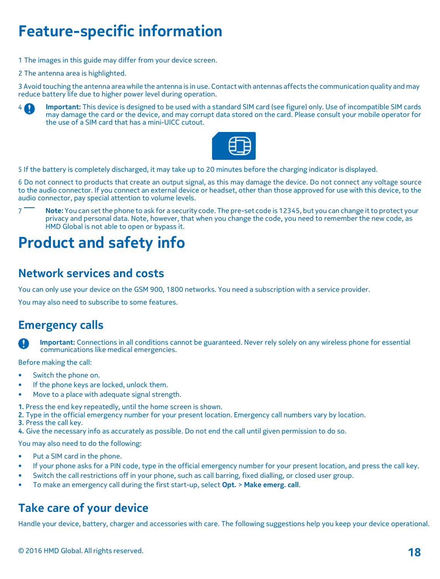## **Feature-specific information**

- 1 The images in this guide may differ from your device screen.
- 2 The antenna area is highlighted.

3 Avoid touching the antenna areawhile the antenna is in use. Contact with antennas affects the communication quality and may reduce battery life due to higher power level during operation.



4 **Important:** This device is designed to be used with a standard SIM card (see figure) only. Use of incompatible SIM cards may damage the card or the device, and may corrupt data stored on the card. Please consult your mobile operator for the use of a SIM card that has a mini-UICC cutout.



<span id="page-17-1"></span>5 If the battery is completely discharged, it may take up to 20 minutes before the charging indicator is displayed.

6 Do not connect to products that create an output signal, as this may damage the device. Do not connect any voltage source to the audio connector. If you connect an external device or headset, other than those approved for use with this device, to the audio connector, pay special attention to volume levels.

7<sup>7</sup> Note: You can set the phone to ask for a security code. The pre-set code is 12345, but you can change it to protect your privacy and personal data. Note, however, that when you change the code, you need to remember the new code, as HMD Global is not able to open or bypass it.

## <span id="page-17-0"></span>**Product and safety info**

#### **Network services and costs**

You can only use your device on the GSM 900, 1800 networks. You need a subscription with a service provider.

You may also need to subscribe to some features.

#### **Emergency calls**

 **Important:** Connections in all conditions cannot be guaranteed. Never rely solely on any wireless phone for essential communications like medical emergencies.

Before making the call:

- Switch the phone on.
- If the phone keys are locked, unlock them.
- Move to a place with adequate signal strength.
- **1.** Press the end key repeatedly, until the home screen is shown.
- **2.** Type in the official emergency number for your present location. Emergency call numbers vary by location.
- **3.** Press the call key.
- **4.** Give the necessary info as accurately as possible. Do not end the call until given permission to do so.

You may also need to do the following:

- Put a SIM card in the phone.
- If your phone asks for a PIN code, type in the official emergency number for your present location, and press the call key.
- Switch the call restrictions off in your phone, such as call barring, fixed dialling, or closed user group.
- To make an emergency call during the first start-up, select **Opt.** > **Make emerg. call**.

#### **Take care of your device**

Handle your device, battery, charger and accessories with care. The following suggestions help you keep your device operational.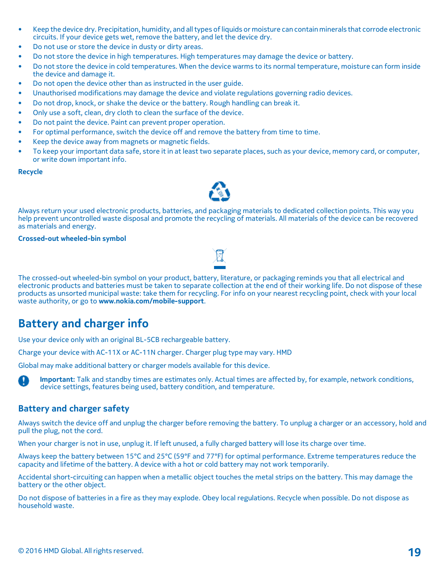- Keep the device dry. Precipitation, humidity, and alltypes ofliquids or moisture can contain minerals that corrode electronic circuits. If your device gets wet, remove the battery, and let the device dry.
- Do not use or store the device in dusty or dirty areas.
- Do not store the device in high temperatures. High temperatures may damage the device or battery.
- Do not store the device in cold temperatures. When the device warms to its normal temperature, moisture can form inside the device and damage it.
- Do not open the device other than as instructed in the user guide.
- Unauthorised modifications may damage the device and violate regulations governing radio devices.
- Do not drop, knock, or shake the device or the battery. Rough handling can break it.
- Only use a soft, clean, dry cloth to clean the surface of the device.
- Do not paint the device. Paint can prevent proper operation.
- For optimal performance, switch the device off and remove the battery from time to time.
- Keep the device away from magnets or magnetic fields.
- To keep your important data safe, store it in at least two separate places, such as your device, memory card, or computer, or write down important info.

#### **Recycle**



Always return your used electronic products, batteries, and packaging materials to dedicated collection points. This way you help prevent uncontrolled waste disposal and promote the recycling of materials. All materials of the device can be recovered as materials and energy.

#### **Crossed-out wheeled-bin symbol**

The crossed-out wheeled-bin symbol on your product, battery, literature, or packaging reminds you that all electrical and electronic products and batteries must be taken to separate collection at the end of their working life. Do not dispose of these products as unsorted municipal waste: take them for recycling. For info on your nearest recycling point, check with your local waste authority, or go to **www.nokia.com/mobile-support**.

#### **Battery and charger info**

Use your device only with an original BL-5CB rechargeable battery.

Charge your device with AC-11X or AC-11N charger. Charger plug type may vary. HMD

Global may make additional battery or charger models available for this device.



#### **Battery and charger safety**

Always switch the device off and unplug the charger before removing the battery. To unplug a charger or an accessory, hold and pull the plug, not the cord.

When your charger is not in use, unplug it. If left unused, a fully charged battery will lose its charge over time.

Always keep the battery between 15°C and 25°C (59°F and 77°F) for optimal performance. Extreme temperatures reduce the capacity and lifetime of the battery. A device with a hot or cold battery may not work temporarily.

Accidental short-circuiting can happen when a metallic object touches the metal strips on the battery. This may damage the battery or the other object.

Do not dispose of batteries in a fire as they may explode. Obey local regulations. Recycle when possible. Do not dispose as household waste.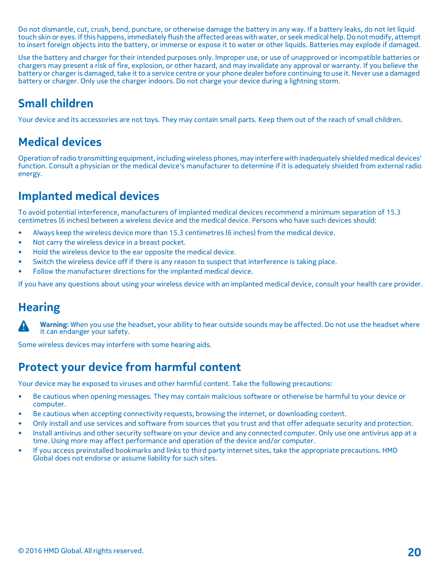Do not dismantle, cut, crush, bend, puncture, or otherwise damage the battery in any way. If a battery leaks, do not let liquid touch skin or eyes. Ifthis happens, immediately flush the affected areaswithwater, or seek medical help.Do not modify, attempt to insert foreign objects into the battery, or immerse or expose it to water or other liquids. Batteries may explode if damaged.

Use the battery and charger for their intended purposes only. Improper use, or use of unapproved or incompatible batteries or chargers may present a risk of fire, explosion, or other hazard, and may invalidate any approval or warranty. If you believe the battery or charger is damaged,take it to a service centre or your phone dealer before continuing to use it. Never use a damaged battery or charger. Only use the charger indoors. Do not charge your device during a lightning storm.

#### **Small children**

Your device and its accessories are not toys. They may contain small parts. Keep them out of the reach of small children.

### **Medical devices**

Operation ofradio transmitting equipment, including wireless phones, may interferewith inadequately shielded medical devices' function. Consult a physician or the medical device's manufacturer to determine if it is adequately shielded from external radio energy.

#### **Implanted medical devices**

To avoid potential interference, manufacturers of implanted medical devices recommend a minimum separation of 15.3 centimetres (6 inches) between a wireless device and the medical device. Persons who have such devices should:

- Always keep the wireless device more than 15.3 centimetres (6 inches) from the medical device.
- Not carry the wireless device in a breast pocket.
- Hold the wireless device to the ear opposite the medical device.
- Switch the wireless device off if there is any reason to suspect that interference is taking place.
- Follow the manufacturer directions for the implanted medical device.

If you have any questions about using your wireless device with an implanted medical device, consult your health care provider.

#### **Hearing**



 **Warning:** When you use the headset, your ability to hear outside sounds may be affected. Do not use the headset where it can endanger your safety.

Some wireless devices may interfere with some hearing aids.

#### **Protect your device from harmful content**

Your device may be exposed to viruses and other harmful content. Take the following precautions:

- Be cautious when opening messages. They may contain malicious software or otherwise be harmful to your device or computer.
- Be cautious when accepting connectivity requests, browsing the internet, or downloading content.
- Only install and use services and software from sources that you trust and that offer adequate security and protection.
- Install antivirus and other security software on your device and any connected computer. Only use one antivirus app at a time. Using more may affect performance and operation of the device and/or computer.
- If you access preinstalled bookmarks and links to third party internet sites, take the appropriate precautions. HMD Global does not endorse or assume liability for such sites.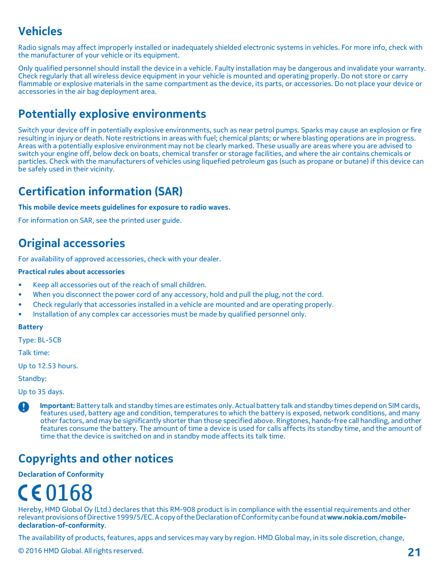### **Vehicles**

Radio signals may affect improperly installed or inadequately shielded electronic systems in vehicles. For more info, check with the manufacturer of your vehicle or its equipment.

Only qualified personnel should install the device in a vehicle. Faulty installation may be dangerous and invalidate your warranty. Check regularly that all wireless device equipment in your vehicle is mounted and operating properly. Do not store or carry flammable or explosive materials in the same compartment as the device, its parts, or accessories. Do not place your device or accessories in the air bag deployment area.

#### **Potentially explosive environments**

Switch your device off in potentially explosive environments, such as near petrol pumps. Sparks may cause an explosion or fire resulting in injury or death. Note restrictions in areas with fuel; chemical plants; or where blasting operations are in progress. Areas with a potentially explosive environment may not be clearly marked. These usually are areas where you are advised to switch your engine off, below deck on boats, chemical transfer or storage facilities, and where the air contains chemicals or particles. Check with the manufacturers of vehicles using liquefied petroleum gas (such as propane or butane) if this device can be safely used in their vicinity.

#### **Certification information (SAR)**

#### **This mobile device meets guidelines for exposure to radio waves.**

For information on SAR, see the printed user guide.

#### **Original accessories**

For availability of approved accessories, check with your dealer.

#### **Practical rules about accessories**

- Keep all accessories out of the reach of small children.
- When you disconnect the power cord of any accessory, hold and pull the plug, not the cord.
- Check regularly that accessories installed in a vehicle are mounted and are operating properly.
- Installation of any complex car accessories must be made by qualified personnel only.

#### **Battery**

Type: BL-5CB

Talk time:

Up to 12.53 hours.

Standby:

Up to 35 days.

 **Important:** Battery talk and standby times are estimates only. Actual battery talk and standby times depend on SIM cards, features used, battery age and condition, temperatures to which the battery is exposed, network conditions, and many other factors, and may be significantly shorter than those specified above. Ringtones, hands-free call handling, and other features consume the battery. The amount of time a device is used for calls affects its standby time, and the amount of time that the device is switched on and in standby mode affects its talk time.

#### **Copyrights and other notices**

**Declaration of Conformity**

# $C\epsilon$ 0168

Hereby, HMD Global Oy (Ltd.) declares that this RM-908 product is in compliance with the essential requirements and other relevantprovisionsofDirective1999/5/EC.AcopyoftheDeclarationofConformity canbefoundat**www.nokia.com/mobile[declaration-of-conformity](http://www.microsoft.com/mobile/declaration-of-conformity)**.

The availability of products, features, apps and services may vary by region. HMD Global may, in its sole discretion, change,

© <sup>2016</sup> HMD Global. All rights reserved. **21**